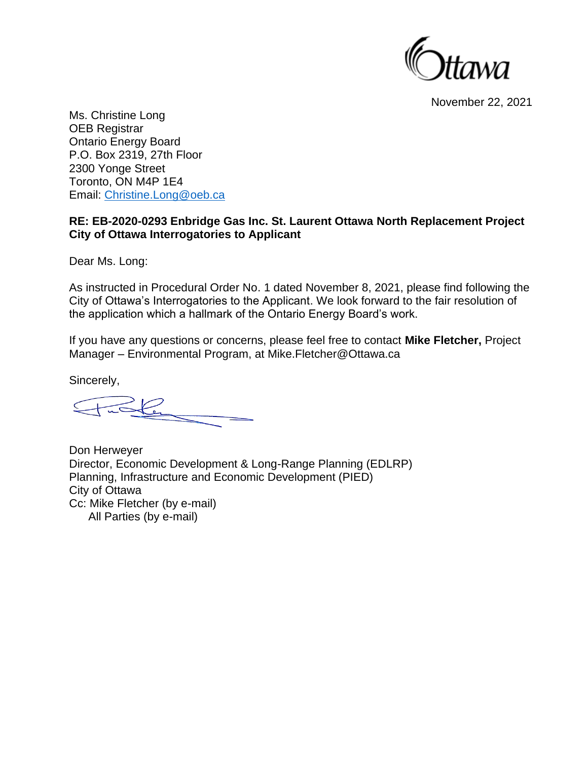

November 22, 2021

Ms. Christine Long OEB Registrar Ontario Energy Board P.O. Box 2319, 27th Floor 2300 Yonge Street Toronto, ON M4P 1E4 Email: [Christine.Long@oeb.ca](about:blank)

#### **RE: EB-2020-0293 Enbridge Gas Inc. St. Laurent Ottawa North Replacement Project City of Ottawa Interrogatories to Applicant**

Dear Ms. Long:

As instructed in Procedural Order No. 1 dated November 8, 2021, please find following the City of Ottawa's Interrogatories to the Applicant. We look forward to the fair resolution of the application which a hallmark of the Ontario Energy Board's work.

If you have any questions or concerns, please feel free to contact **Mike Fletcher,** Project Manager – Environmental Program, at Mike.Fletcher@Ottawa.ca

Sincerely,

 $\frac{1}{2}$ 

Don Herweyer Director, Economic Development & Long-Range Planning (EDLRP) Planning, Infrastructure and Economic Development (PIED) City of Ottawa Cc: Mike Fletcher (by e-mail) All Parties (by e-mail)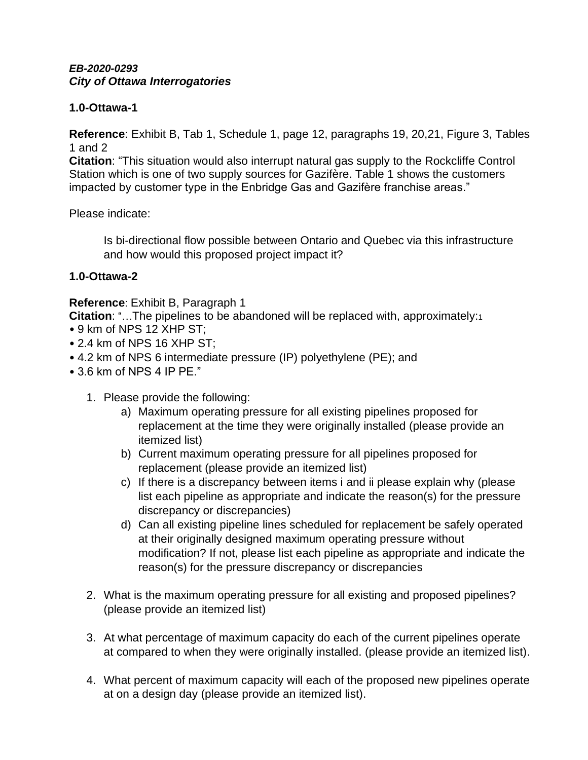# **1.0-Ottawa-1**

**Reference**: Exhibit B, Tab 1, Schedule 1, page 12, paragraphs 19, 20,21, Figure 3, Tables 1 and 2

**Citation**: "This situation would also interrupt natural gas supply to the Rockcliffe Control Station which is one of two supply sources for Gazifère. Table 1 shows the customers impacted by customer type in the Enbridge Gas and Gazifère franchise areas."

Please indicate:

Is bi-directional flow possible between Ontario and Quebec via this infrastructure and how would this proposed project impact it?

# **1.0-Ottawa-2**

**Reference**: Exhibit B, Paragraph 1

**Citation**: "…The pipelines to be abandoned will be replaced with, approximately:<sup>1</sup>

- 9 km of NPS 12 XHP ST;
- 2.4 km of NPS 16 XHP ST;
- 4.2 km of NPS 6 intermediate pressure (IP) polyethylene (PE); and
- 3.6 km of NPS 4 IP PE."
	- 1. Please provide the following:
		- a) Maximum operating pressure for all existing pipelines proposed for replacement at the time they were originally installed (please provide an itemized list)
		- b) Current maximum operating pressure for all pipelines proposed for replacement (please provide an itemized list)
		- c) If there is a discrepancy between items i and ii please explain why (please list each pipeline as appropriate and indicate the reason(s) for the pressure discrepancy or discrepancies)
		- d) Can all existing pipeline lines scheduled for replacement be safely operated at their originally designed maximum operating pressure without modification? If not, please list each pipeline as appropriate and indicate the reason(s) for the pressure discrepancy or discrepancies
	- 2. What is the maximum operating pressure for all existing and proposed pipelines? (please provide an itemized list)
	- 3. At what percentage of maximum capacity do each of the current pipelines operate at compared to when they were originally installed. (please provide an itemized list).
	- 4. What percent of maximum capacity will each of the proposed new pipelines operate at on a design day (please provide an itemized list).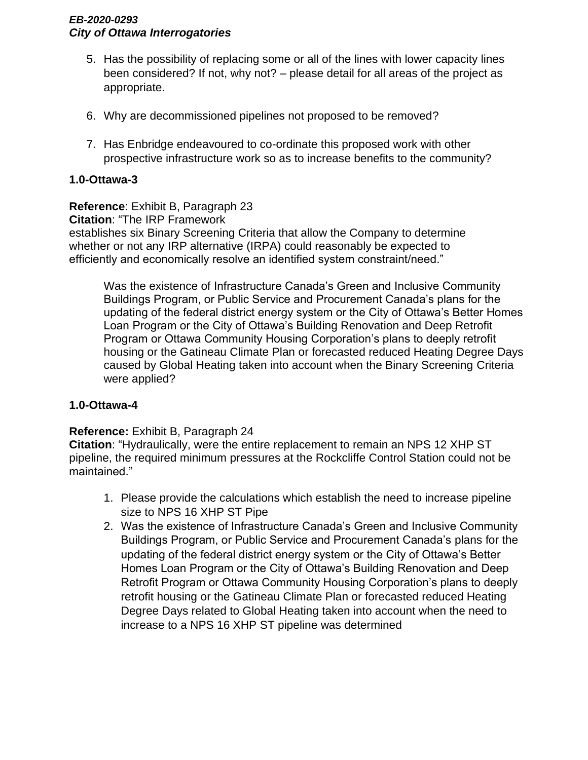- 5. Has the possibility of replacing some or all of the lines with lower capacity lines been considered? If not, why not? – please detail for all areas of the project as appropriate.
- 6. Why are decommissioned pipelines not proposed to be removed?
- 7. Has Enbridge endeavoured to co-ordinate this proposed work with other prospective infrastructure work so as to increase benefits to the community?

### **1.0-Ottawa-3**

**Reference**: Exhibit B, Paragraph 23 **Citation**: "The IRP Framework establishes six Binary Screening Criteria that allow the Company to determine whether or not any IRP alternative (IRPA) could reasonably be expected to efficiently and economically resolve an identified system constraint/need."

Was the existence of Infrastructure Canada's Green and Inclusive Community Buildings Program, or Public Service and Procurement Canada's plans for the updating of the federal district energy system or the City of Ottawa's Better Homes Loan Program or the City of Ottawa's Building Renovation and Deep Retrofit Program or Ottawa Community Housing Corporation's plans to deeply retrofit housing or the Gatineau Climate Plan or forecasted reduced Heating Degree Days caused by Global Heating taken into account when the Binary Screening Criteria were applied?

#### **1.0-Ottawa-4**

#### **Reference:** Exhibit B, Paragraph 24

**Citation**: "Hydraulically, were the entire replacement to remain an NPS 12 XHP ST pipeline, the required minimum pressures at the Rockcliffe Control Station could not be maintained."

- 1. Please provide the calculations which establish the need to increase pipeline size to NPS 16 XHP ST Pipe
- 2. Was the existence of Infrastructure Canada's Green and Inclusive Community Buildings Program, or Public Service and Procurement Canada's plans for the updating of the federal district energy system or the City of Ottawa's Better Homes Loan Program or the City of Ottawa's Building Renovation and Deep Retrofit Program or Ottawa Community Housing Corporation's plans to deeply retrofit housing or the Gatineau Climate Plan or forecasted reduced Heating Degree Days related to Global Heating taken into account when the need to increase to a NPS 16 XHP ST pipeline was determined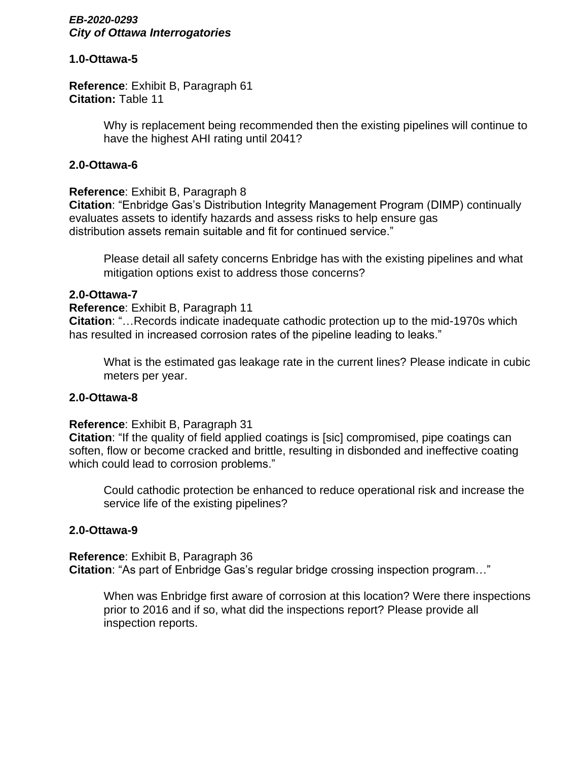#### **1.0-Ottawa-5**

**Reference**: Exhibit B, Paragraph 61 **Citation:** Table 11

> Why is replacement being recommended then the existing pipelines will continue to have the highest AHI rating until 2041?

#### **2.0-Ottawa-6**

# **Reference**: Exhibit B, Paragraph 8

**Citation**: "Enbridge Gas's Distribution Integrity Management Program (DIMP) continually evaluates assets to identify hazards and assess risks to help ensure gas distribution assets remain suitable and fit for continued service."

Please detail all safety concerns Enbridge has with the existing pipelines and what mitigation options exist to address those concerns?

#### **2.0-Ottawa-7**

### **Reference**: Exhibit B, Paragraph 11

**Citation**: "…Records indicate inadequate cathodic protection up to the mid-1970s which has resulted in increased corrosion rates of the pipeline leading to leaks."

What is the estimated gas leakage rate in the current lines? Please indicate in cubic meters per year.

#### **2.0-Ottawa-8**

#### **Reference**: Exhibit B, Paragraph 31

**Citation**: "If the quality of field applied coatings is [sic] compromised, pipe coatings can soften, flow or become cracked and brittle, resulting in disbonded and ineffective coating which could lead to corrosion problems."

Could cathodic protection be enhanced to reduce operational risk and increase the service life of the existing pipelines?

# **2.0-Ottawa-9**

**Reference**: Exhibit B, Paragraph 36 **Citation**: "As part of Enbridge Gas's regular bridge crossing inspection program…"

When was Enbridge first aware of corrosion at this location? Were there inspections prior to 2016 and if so, what did the inspections report? Please provide all inspection reports.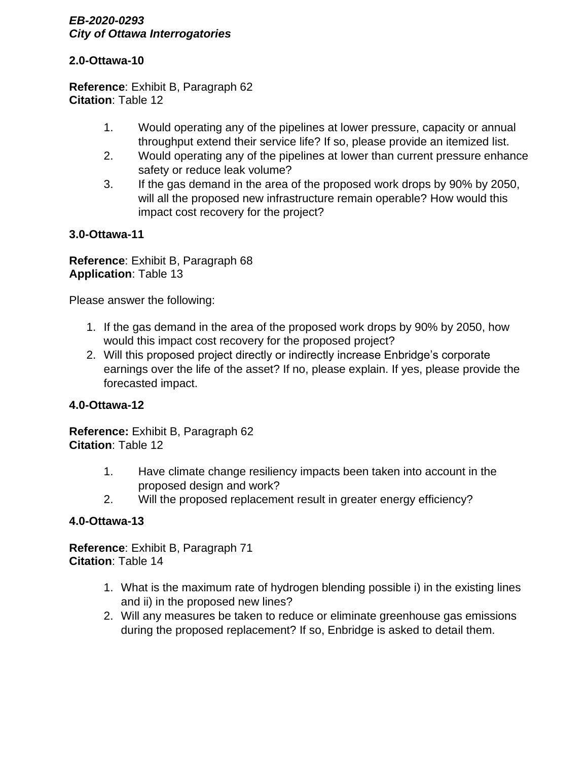# **2.0-Ottawa-10**

**Reference**: Exhibit B, Paragraph 62 **Citation**: Table 12

- 1. Would operating any of the pipelines at lower pressure, capacity or annual throughput extend their service life? If so, please provide an itemized list.
- 2. Would operating any of the pipelines at lower than current pressure enhance safety or reduce leak volume?
- 3. If the gas demand in the area of the proposed work drops by 90% by 2050, will all the proposed new infrastructure remain operable? How would this impact cost recovery for the project?

# **3.0-Ottawa-11**

**Reference**: Exhibit B, Paragraph 68 **Application**: Table 13

Please answer the following:

- 1. If the gas demand in the area of the proposed work drops by 90% by 2050, how would this impact cost recovery for the proposed project?
- 2. Will this proposed project directly or indirectly increase Enbridge's corporate earnings over the life of the asset? If no, please explain. If yes, please provide the forecasted impact.

# **4.0-Ottawa-12**

**Reference:** Exhibit B, Paragraph 62 **Citation**: Table 12

- 1. Have climate change resiliency impacts been taken into account in the proposed design and work?
- 2. Will the proposed replacement result in greater energy efficiency?

# **4.0-Ottawa-13**

**Reference**: Exhibit B, Paragraph 71 **Citation**: Table 14

- 1. What is the maximum rate of hydrogen blending possible i) in the existing lines and ii) in the proposed new lines?
- 2. Will any measures be taken to reduce or eliminate greenhouse gas emissions during the proposed replacement? If so, Enbridge is asked to detail them.